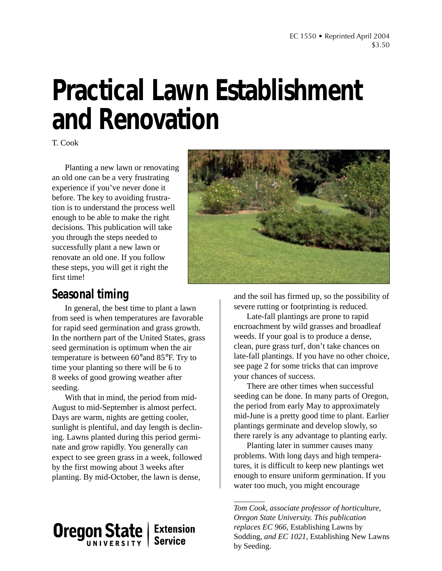# **Practical Lawn Establishment and Renovation**

T. Cook

Planting a new lawn or renovating an old one can be a very frustrating experience if you've never done it before. The key to avoiding frustration is to understand the process well enough to be able to make the right decisions. This publication will take you through the steps needed to successfully plant a new lawn or renovate an old one. If you follow these steps, you will get it right the first time!



### **Seasonal timing**

In general, the best time to plant a lawn from seed is when temperatures are favorable for rapid seed germination and grass growth. In the northern part of the United States, grass seed germination is optimum when the air temperature is between 60°and 85°F. Try to time your planting so there will be 6 to 8 weeks of good growing weather after seeding.

With that in mind, the period from mid-August to mid-September is almost perfect. Days are warm, nights are getting cooler, sunlight is plentiful, and day length is declining. Lawns planted during this period germinate and grow rapidly. You generally can expect to see green grass in a week, followed by the first mowing about 3 weeks after planting. By mid-October, the lawn is dense,

**Oregon State Extension Service** 

and the soil has firmed up, so the possibility of severe rutting or footprinting is reduced.

Late-fall plantings are prone to rapid encroachment by wild grasses and broadleaf weeds. If your goal is to produce a dense, clean, pure grass turf, don't take chances on late-fall plantings. If you have no other choice, see page 2 for some tricks that can improve your chances of success.

There are other times when successful seeding can be done. In many parts of Oregon, the period from early May to approximately mid-June is a pretty good time to plant. Earlier plantings germinate and develop slowly, so there rarely is any advantage to planting early.

Planting later in summer causes many problems. With long days and high temperatures, it is difficult to keep new plantings wet enough to ensure uniform germination. If you water too much, you might encourage

*Tom Cook, associate professor of horticulture, Oregon State University. This publication replaces EC 966,* Establishing Lawns by Sodding, *and EC 1021,* Establishing New Lawns by Seeding.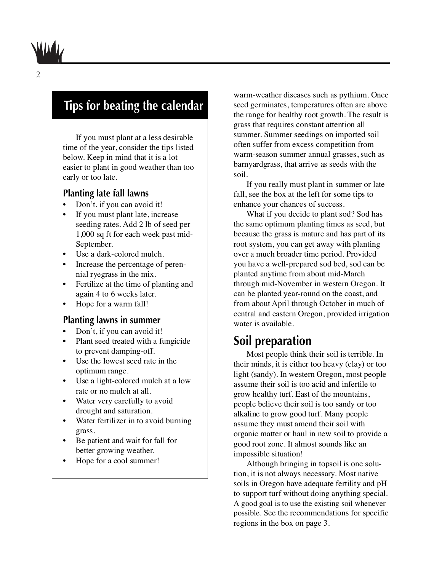### **Tips for beating the calendar**

If you must plant at a less desirable time of the year, consider the tips listed below. Keep in mind that it is a lot easier to plant in good weather than too early or too late.

### **Planting late fall lawns**

- Don't, if you can avoid it!
- If you must plant late, increase seeding rates. Add 2 lb of seed per 1,000 sq ft for each week past mid-September.
- Use a dark-colored mulch.
- Increase the percentage of perennial ryegrass in the mix.
- Fertilize at the time of planting and again 4 to 6 weeks later.
- Hope for a warm fall!

### **Planting lawns in summer**

- Don't, if you can avoid it!
- Plant seed treated with a fungicide to prevent damping-off.
- Use the lowest seed rate in the optimum range.
- Use a light-colored mulch at a low rate or no mulch at all.
- Water very carefully to avoid drought and saturation.
- Water fertilizer in to avoid burning grass.
- Be patient and wait for fall for better growing weather.
- Hope for a cool summer!

warm-weather diseases such as pythium. Once seed germinates, temperatures often are above the range for healthy root growth. The result is grass that requires constant attention all summer. Summer seedings on imported soil often suffer from excess competition from warm-season summer annual grasses, such as barnyardgrass, that arrive as seeds with the soil.

If you really must plant in summer or late fall, see the box at the left for some tips to enhance your chances of success.

What if you decide to plant sod? Sod has the same optimum planting times as seed, but because the grass is mature and has part of its root system, you can get away with planting over a much broader time period. Provided you have a well-prepared sod bed, sod can be planted anytime from about mid-March through mid-November in western Oregon. It can be planted year-round on the coast, and from about April through October in much of central and eastern Oregon, provided irrigation water is available.

### **Soil preparation**

Most people think their soil is terrible. In their minds, it is either too heavy (clay) or too light (sandy). In western Oregon, most people assume their soil is too acid and infertile to grow healthy turf. East of the mountains, people believe their soil is too sandy or too alkaline to grow good turf. Many people assume they must amend their soil with organic matter or haul in new soil to provide a good root zone. It almost sounds like an impossible situation!

Although bringing in topsoil is one solution, it is not always necessary. Most native soils in Oregon have adequate fertility and pH to support turf without doing anything special. A good goal is to use the existing soil whenever possible. See the recommendations for specific regions in the box on page 3.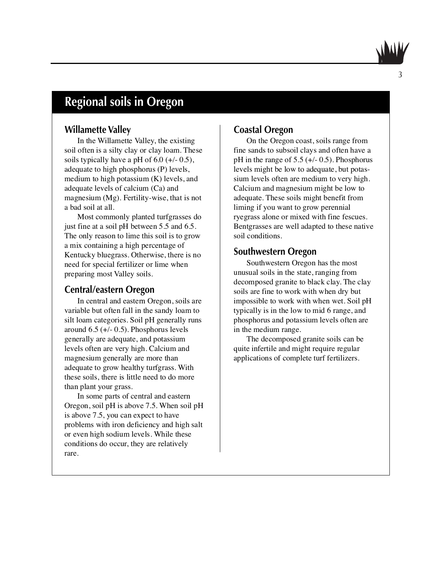# **Regional soils in Oregon**

### **Willamette Valley**

In the Willamette Valley, the existing soil often is a silty clay or clay loam. These soils typically have a pH of  $6.0$  ( $+/- 0.5$ ), adequate to high phosphorus (P) levels, medium to high potassium (K) levels, and adequate levels of calcium (Ca) and magnesium (Mg). Fertility-wise, that is not a bad soil at all.

Most commonly planted turfgrasses do just fine at a soil pH between 5.5 and 6.5. The only reason to lime this soil is to grow a mix containing a high percentage of Kentucky bluegrass. Otherwise, there is no need for special fertilizer or lime when preparing most Valley soils.

### **Central/eastern Oregon**

In central and eastern Oregon, soils are variable but often fall in the sandy loam to silt loam categories. Soil pH generally runs around 6.5 (+/- 0.5). Phosphorus levels generally are adequate, and potassium levels often are very high. Calcium and magnesium generally are more than adequate to grow healthy turfgrass. With these soils, there is little need to do more than plant your grass.

In some parts of central and eastern Oregon, soil pH is above 7.5. When soil pH is above 7.5, you can expect to have problems with iron deficiency and high salt or even high sodium levels. While these conditions do occur, they are relatively rare.

### **Coastal Oregon**

On the Oregon coast, soils range from fine sands to subsoil clays and often have a pH in the range of  $5.5$  (+/- 0.5). Phosphorus levels might be low to adequate, but potassium levels often are medium to very high. Calcium and magnesium might be low to adequate. These soils might benefit from liming if you want to grow perennial ryegrass alone or mixed with fine fescues. Bentgrasses are well adapted to these native soil conditions.

### **Southwestern Oregon**

Southwestern Oregon has the most unusual soils in the state, ranging from decomposed granite to black clay. The clay soils are fine to work with when dry but impossible to work with when wet. Soil pH typically is in the low to mid 6 range, and phosphorus and potassium levels often are in the medium range.

The decomposed granite soils can be quite infertile and might require regular applications of complete turf fertilizers.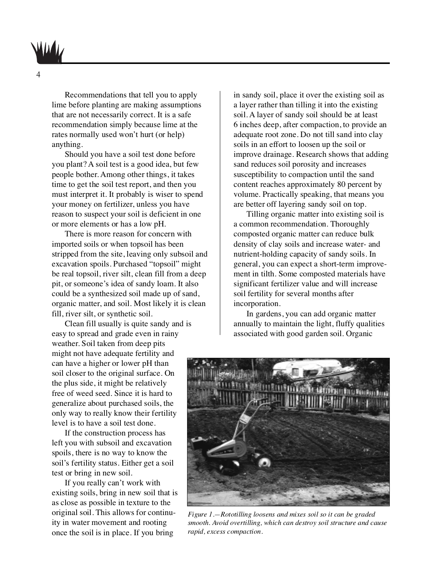Recommendations that tell you to apply lime before planting are making assumptions that are not necessarily correct. It is a safe recommendation simply because lime at the rates normally used won't hurt (or help) anything.

Should you have a soil test done before you plant? A soil test is a good idea, but few people bother. Among other things, it takes time to get the soil test report, and then you must interpret it. It probably is wiser to spend your money on fertilizer, unless you have reason to suspect your soil is deficient in one or more elements or has a low pH.

There is more reason for concern with imported soils or when topsoil has been stripped from the site, leaving only subsoil and excavation spoils. Purchased "topsoil" might be real topsoil, river silt, clean fill from a deep pit, or someone's idea of sandy loam. It also could be a synthesized soil made up of sand, organic matter, and soil. Most likely it is clean fill, river silt, or synthetic soil.

Clean fill usually is quite sandy and is easy to spread and grade even in rainy weather. Soil taken from deep pits might not have adequate fertility and can have a higher or lower pH than soil closer to the original surface. On the plus side, it might be relatively free of weed seed. Since it is hard to generalize about purchased soils, the only way to really know their fertility level is to have a soil test done.

If the construction process has left you with subsoil and excavation spoils, there is no way to know the soil's fertility status. Either get a soil test or bring in new soil.

If you really can't work with existing soils, bring in new soil that is as close as possible in texture to the original soil. This allows for continuity in water movement and rooting once the soil is in place. If you bring

in sandy soil, place it over the existing soil as a layer rather than tilling it into the existing soil. A layer of sandy soil should be at least 6 inches deep, after compaction, to provide an adequate root zone. Do not till sand into clay soils in an effort to loosen up the soil or improve drainage. Research shows that adding sand reduces soil porosity and increases susceptibility to compaction until the sand content reaches approximately 80 percent by volume. Practically speaking, that means you are better off layering sandy soil on top.

Tilling organic matter into existing soil is a common recommendation. Thoroughly composted organic matter can reduce bulk density of clay soils and increase water- and nutrient-holding capacity of sandy soils. In general, you can expect a short-term improvement in tilth. Some composted materials have significant fertilizer value and will increase soil fertility for several months after incorporation.

In gardens, you can add organic matter annually to maintain the light, fluffy qualities associated with good garden soil. Organic



*Figure 1.—Rototilling loosens and mixes soil so it can be graded smooth. Avoid overtilling, which can destroy soil structure and cause rapid, excess compaction.*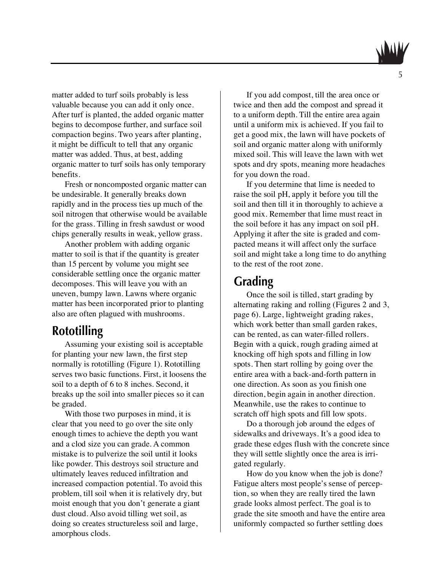matter added to turf soils probably is less valuable because you can add it only once. After turf is planted, the added organic matter begins to decompose further, and surface soil compaction begins. Two years after planting, it might be difficult to tell that any organic matter was added. Thus, at best, adding organic matter to turf soils has only temporary benefits.

Fresh or noncomposted organic matter can be undesirable. It generally breaks down rapidly and in the process ties up much of the soil nitrogen that otherwise would be available for the grass. Tilling in fresh sawdust or wood chips generally results in weak, yellow grass.

Another problem with adding organic matter to soil is that if the quantity is greater than 15 percent by volume you might see considerable settling once the organic matter decomposes. This will leave you with an uneven, bumpy lawn. Lawns where organic matter has been incorporated prior to planting also are often plagued with mushrooms.

### **Rototilling**

Assuming your existing soil is acceptable for planting your new lawn, the first step normally is rototilling (Figure 1). Rototilling serves two basic functions. First, it loosens the soil to a depth of 6 to 8 inches. Second, it breaks up the soil into smaller pieces so it can be graded.

With those two purposes in mind, it is clear that you need to go over the site only enough times to achieve the depth you want and a clod size you can grade. A common mistake is to pulverize the soil until it looks like powder. This destroys soil structure and ultimately leaves reduced infiltration and increased compaction potential. To avoid this problem, till soil when it is relatively dry, but moist enough that you don't generate a giant dust cloud. Also avoid tilling wet soil, as doing so creates structureless soil and large, amorphous clods.

If you add compost, till the area once or twice and then add the compost and spread it to a uniform depth. Till the entire area again until a uniform mix is achieved. If you fail to get a good mix, the lawn will have pockets of soil and organic matter along with uniformly mixed soil. This will leave the lawn with wet spots and dry spots, meaning more headaches for you down the road.

If you determine that lime is needed to raise the soil pH, apply it before you till the soil and then till it in thoroughly to achieve a good mix. Remember that lime must react in the soil before it has any impact on soil pH. Applying it after the site is graded and compacted means it will affect only the surface soil and might take a long time to do anything to the rest of the root zone.

### **Grading**

Once the soil is tilled, start grading by alternating raking and rolling (Figures 2 and 3, page 6). Large, lightweight grading rakes, which work better than small garden rakes, can be rented, as can water-filled rollers. Begin with a quick, rough grading aimed at knocking off high spots and filling in low spots. Then start rolling by going over the entire area with a back-and-forth pattern in one direction. As soon as you finish one direction, begin again in another direction. Meanwhile, use the rakes to continue to scratch off high spots and fill low spots.

Do a thorough job around the edges of sidewalks and driveways. It's a good idea to grade these edges flush with the concrete since they will settle slightly once the area is irrigated regularly.

How do you know when the job is done? Fatigue alters most people's sense of perception, so when they are really tired the lawn grade looks almost perfect. The goal is to grade the site smooth and have the entire area uniformly compacted so further settling does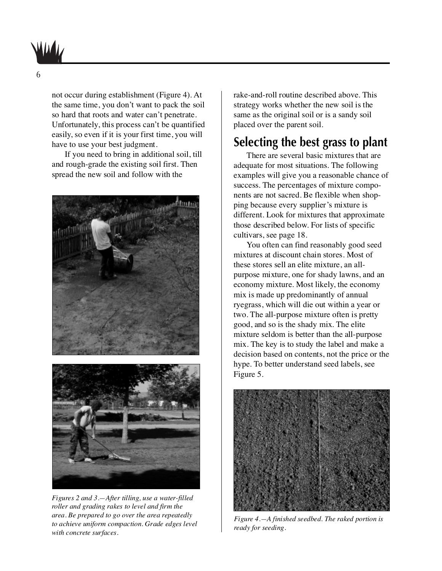

not occur during establishment (Figure 4). At the same time, you don't want to pack the soil so hard that roots and water can't penetrate. Unfortunately, this process can't be quantified easily, so even if it is your first time, you will have to use your best judgment.

If you need to bring in additional soil, till and rough-grade the existing soil first. Then spread the new soil and follow with the





*Figures 2 and 3.—After tilling, use a water-filled roller and grading rakes to level and firm the area. Be prepared to go over the area repeatedly to achieve uniform compaction. Grade edges level with concrete surfaces.*

rake-and-roll routine described above. This strategy works whether the new soil is the same as the original soil or is a sandy soil placed over the parent soil.

### **Selecting the best grass to plant**

There are several basic mixtures that are adequate for most situations. The following examples will give you a reasonable chance of success. The percentages of mixture components are not sacred. Be flexible when shopping because every supplier's mixture is different. Look for mixtures that approximate those described below. For lists of specific cultivars, see page 18.

You often can find reasonably good seed mixtures at discount chain stores. Most of these stores sell an elite mixture, an allpurpose mixture, one for shady lawns, and an economy mixture. Most likely, the economy mix is made up predominantly of annual ryegrass, which will die out within a year or two. The all-purpose mixture often is pretty good, and so is the shady mix. The elite mixture seldom is better than the all-purpose mix. The key is to study the label and make a decision based on contents, not the price or the hype. To better understand seed labels, see Figure 5.



*Figure 4.—A finished seedbed. The raked portion is ready for seeding.*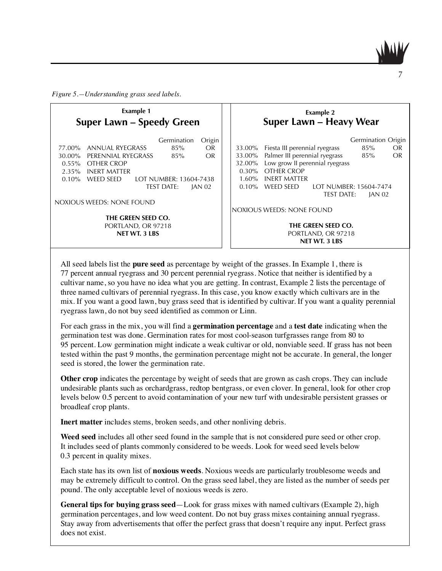*Figure 5.—Understanding grass seed labels.*

| <b>Example 1</b><br><b>Super Lawn - Speedy Green</b> |                           |                        |               | <b>Example 2</b><br>Super Lawn - Heavy Wear |                                |                        |                    |    |
|------------------------------------------------------|---------------------------|------------------------|---------------|---------------------------------------------|--------------------------------|------------------------|--------------------|----|
|                                                      |                           | Germination            | Origin        |                                             |                                |                        | Germination Origin |    |
| 77.00%                                               | ANNUAL RYEGRASS           | 85%                    | OR.           | 33.00%                                      | Fiesta III perennial ryegrass  |                        | 85%                | OR |
| 30.00 <sup>%</sup>                                   | PERENNIAL RYEGRASS        | 85%                    | OR.           | 33.00%                                      | Palmer III perennial ryegrass  |                        | 85%                | OR |
| $0.55\%$                                             | OTHER CROP                |                        |               | 32.00%                                      | Low grow II perennial ryegrass |                        |                    |    |
| 2.35%                                                | <b>INERT MATTER</b>       |                        |               | $0.30\%$                                    | OTHER CROP                     |                        |                    |    |
| $0.10\%$                                             | <b>WEED SEED</b>          | LOT NUMBER: 13604-7438 |               | $1.60\%$                                    | <b>INERT MATTER</b>            |                        |                    |    |
|                                                      |                           | <b>TEST DATE:</b>      | <b>JAN 02</b> | $0.10\%$                                    | WEED SEED                      | LOT NUMBER: 15604-7474 |                    |    |
|                                                      |                           |                        |               |                                             |                                | <b>TEST DATE:</b>      | <b>JAN 02</b>      |    |
|                                                      | NOXIOUS WEEDS: NONE FOUND |                        |               |                                             |                                |                        |                    |    |
|                                                      |                           |                        |               |                                             | NOXIOUS WEEDS: NONE FOUND      |                        |                    |    |
| THE GREEN SEED CO.                                   |                           |                        |               |                                             |                                |                        |                    |    |
| PORTLAND, OR 97218                                   |                           |                        |               | THE GREEN SEED CO.                          |                                |                        |                    |    |
| <b>NET WT. 3 LBS</b>                                 |                           |                        |               | PORTLAND, OR 97218                          |                                |                        |                    |    |
|                                                      |                           |                        |               |                                             | <b>NET WT. 3 LBS</b>           |                        |                    |    |

All seed labels list the **pure seed** as percentage by weight of the grasses. In Example 1, there is 77 percent annual ryegrass and 30 percent perennial ryegrass. Notice that neither is identified by a cultivar name, so you have no idea what you are getting. In contrast, Example 2 lists the percentage of three named cultivars of perennial ryegrass. In this case, you know exactly which cultivars are in the mix. If you want a good lawn, buy grass seed that is identified by cultivar. If you want a quality perennial ryegrass lawn, do not buy seed identified as common or Linn.

For each grass in the mix, you will find a **germination percentage** and a **test date** indicating when the germination test was done. Germination rates for most cool-season turfgrasses range from 80 to 95 percent. Low germination might indicate a weak cultivar or old, nonviable seed. If grass has not been tested within the past 9 months, the germination percentage might not be accurate. In general, the longer seed is stored, the lower the germination rate.

**Other crop** indicates the percentage by weight of seeds that are grown as cash crops. They can include undesirable plants such as orchardgrass, redtop bentgrass, or even clover. In general, look for other crop levels below 0.5 percent to avoid contamination of your new turf with undesirable persistent grasses or broadleaf crop plants.

**Inert matter** includes stems, broken seeds, and other nonliving debris.

**Weed seed** includes all other seed found in the sample that is not considered pure seed or other crop. It includes seed of plants commonly considered to be weeds. Look for weed seed levels below 0.3 percent in quality mixes.

Each state has its own list of **noxious weeds**. Noxious weeds are particularly troublesome weeds and may be extremely difficult to control. On the grass seed label, they are listed as the number of seeds per pound. The only acceptable level of noxious weeds is zero.

**General tips for buying grass seed**—Look for grass mixes with named cultivars (Example 2), high germination percentages, and low weed content. Do not buy grass mixes containing annual ryegrass. Stay away from advertisements that offer the perfect grass that doesn't require any input. Perfect grass does not exist.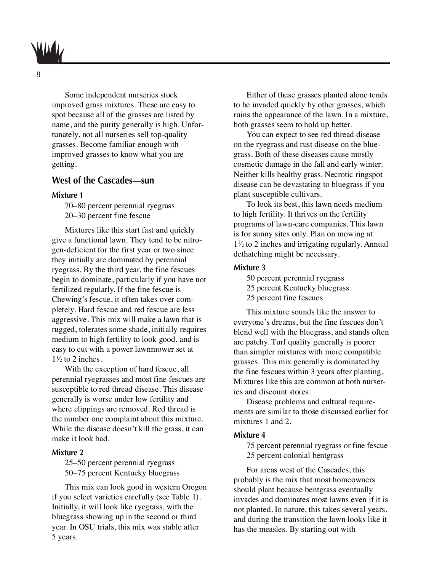

Some independent nurseries stock improved grass mixtures. These are easy to spot because all of the grasses are listed by name, and the purity generally is high. Unfortunately, not all nurseries sell top-quality grasses. Become familiar enough with improved grasses to know what you are getting.

### **West of the Cascades—sun**

#### **Mixture 1**

70–80 percent perennial ryegrass 20–30 percent fine fescue

Mixtures like this start fast and quickly give a functional lawn. They tend to be nitrogen-deficient for the first year or two since they initially are dominated by perennial ryegrass. By the third year, the fine fescues begin to dominate, particularly if you have not fertilized regularly. If the fine fescue is Chewing's fescue, it often takes over completely. Hard fescue and red fescue are less aggressive. This mix will make a lawn that is rugged, tolerates some shade, initially requires medium to high fertility to look good, and is easy to cut with a power lawnmower set at  $1\frac{1}{2}$  to 2 inches.

With the exception of hard fescue, all perennial ryegrasses and most fine fescues are susceptible to red thread disease. This disease generally is worse under low fertility and where clippings are removed. Red thread is the number one complaint about this mixture. While the disease doesn't kill the grass, it can make it look bad.

#### **Mixture 2**

25–50 percent perennial ryegrass 50–75 percent Kentucky bluegrass

This mix can look good in western Oregon if you select varieties carefully (see Table 1). Initially, it will look like ryegrass, with the bluegrass showing up in the second or third year. In OSU trials, this mix was stable after 5 years.

Either of these grasses planted alone tends to be invaded quickly by other grasses, which ruins the appearance of the lawn. In a mixture, both grasses seem to hold up better.

You can expect to see red thread disease on the ryegrass and rust disease on the bluegrass. Both of these diseases cause mostly cosmetic damage in the fall and early winter. Neither kills healthy grass. Necrotic ringspot disease can be devastating to bluegrass if you plant susceptible cultivars.

To look its best, this lawn needs medium to high fertility. It thrives on the fertility programs of lawn-care companies. This lawn is for sunny sites only. Plan on mowing at 11 ⁄2 to 2 inches and irrigating regularly. Annual dethatching might be necessary.

#### **Mixture 3**

50 percent perennial ryegrass 25 percent Kentucky bluegrass

25 percent fine fescues

This mixture sounds like the answer to everyone's dreams, but the fine fescues don't blend well with the bluegrass, and stands often are patchy. Turf quality generally is poorer than simpler mixtures with more compatible grasses. This mix generally is dominated by the fine fescues within 3 years after planting. Mixtures like this are common at both nurseries and discount stores.

Disease problems and cultural requirements are similar to those discussed earlier for mixtures 1 and 2.

#### **Mixture 4**

75 percent perennial ryegrass or fine fescue 25 percent colonial bentgrass

For areas west of the Cascades, this probably is the mix that most homeowners should plant because bentgrass eventually invades and dominates most lawns even if it is not planted. In nature, this takes several years, and during the transition the lawn looks like it has the measles. By starting out with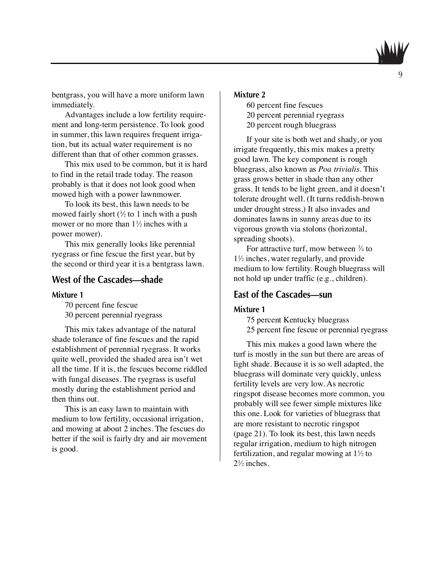

bentgrass, you will have a more uniform lawn immediately.

Advantages include a low fertility requirement and long-term persistence. To look good in summer, this lawn requires frequent irrigation, but its actual water requirement is no different than that of other common grasses.

This mix used to be common, but it is hard to find in the retail trade today. The reason probably is that it does not look good when mowed high with a power lawnmower.

To look its best, this lawn needs to be mowed fairly short  $\frac{1}{2}$  to 1 inch with a push mower or no more than  $1\frac{1}{2}$  inches with a power mower).

This mix generally looks like perennial ryegrass or fine fescue the first year, but by the second or third year it is a bentgrass lawn.

### **West of the Cascades—shade**

#### **Mixture 1**

70 percent fine fescue 30 percent perennial ryegrass

This mix takes advantage of the natural shade tolerance of fine fescues and the rapid establishment of perennial ryegrass. It works quite well, provided the shaded area isn't wet all the time. If it is, the fescues become riddled with fungal diseases. The ryegrass is useful mostly during the establishment period and then thins out.

This is an easy lawn to maintain with medium to low fertility, occasional irrigation, and mowing at about 2 inches. The fescues do better if the soil is fairly dry and air movement is good.

### **Mixture 2**

- 60 percent fine fescues
- 20 percent perennial ryegrass
- 20 percent rough bluegrass

If your site is both wet and shady, or you irrigate frequently, this mix makes a pretty good lawn. The key component is rough bluegrass, also known as *Poa trivialis*. This grass grows better in shade than any other grass. It tends to be light green, and it doesn't tolerate drought well. (It turns reddish-brown under drought stress.) It also invades and dominates lawns in sunny areas due to its vigorous growth via stolons (horizontal, spreading shoots).

For attractive turf, mow between 3/4 to 11 ⁄2 inches, water regularly, and provide medium to low fertility. Rough bluegrass will not hold up under traffic (e.g., children).

### **East of the Cascades—sun**

#### **Mixture 1**

75 percent Kentucky bluegrass

25 percent fine fescue or perennial ryegrass

This mix makes a good lawn where the turf is mostly in the sun but there are areas of light shade. Because it is so well adapted, the bluegrass will dominate very quickly, unless fertility levels are very low. As necrotic ringspot disease becomes more common, you probably will see fewer simple mixtures like this one. Look for varieties of bluegrass that are more resistant to necrotic ringspot (page 21). To look its best, this lawn needs regular irrigation, medium to high nitrogen fertilization, and regular mowing at  $1\frac{1}{2}$  to  $2\frac{1}{2}$  inches.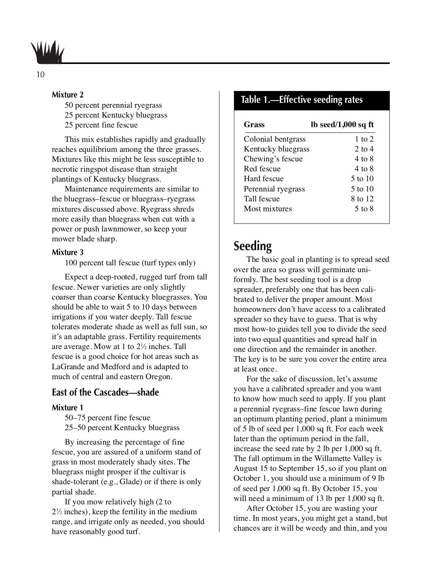

#### **Mixture 2**

50 percent perennial ryegrass

- 25 percent Kentucky bluegrass
- 25 percent fine fescue

This mix establishes rapidly and gradually reaches equilibrium among the three grasses. Mixtures like this might be less susceptible to necrotic ringspot disease than straight plantings of Kentucky bluegrass.

Maintenance requirements are similar to the bluegrass–fescue or bluegrass–ryegrass mixtures discussed above. Ryegrass shreds more easily than bluegrass when cut with a power or push lawnmower, so keep your mower blade sharp.

#### **Mixture 3**

100 percent tall fescue (turf types only)

Expect a deep-rooted, rugged turf from tall fescue. Newer varieties are only slightly coarser than coarse Kentucky bluegrasses. You should be able to wait 5 to 10 days between irrigations if you water deeply. Tall fescue tolerates moderate shade as well as full sun, so it's an adaptable grass. Fertility requirements are average. Mow at 1 to  $2\frac{1}{2}$  inches. Tall fescue is a good choice for hot areas such as LaGrande and Medford and is adapted to much of central and eastern Oregon.

### **East of the Cascades—shade**

#### **Mixture 1**

50–75 percent fine fescue 25–50 percent Kentucky bluegrass

By increasing the percentage of fine fescue, you are assured of a uniform stand of grass in most moderately shady sites. The bluegrass might prosper if the cultivar is shade-tolerant (e.g., Glade) or if there is only partial shade.

If you mow relatively high (2 to  $2\frac{1}{2}$  inches), keep the fertility in the medium range, and irrigate only as needed, you should have reasonably good turf.

### **Table 1.—Effective seeding rates**

| lb seed/1,000 sq ft |
|---------------------|
| 1 to 2              |
| 2 to $4$            |
| 4 to 8              |
| 4 to 8              |
| 5 to 10             |
| 5 to 10             |
| 8 to 12             |
| 5 to 8              |
|                     |

### **Seeding**

The basic goal in planting is to spread seed over the area so grass will germinate uniformly. The best seeding tool is a drop spreader, preferably one that has been calibrated to deliver the proper amount. Most homeowners don't have access to a calibrated spreader so they have to guess. That is why most how-to guides tell you to divide the seed into two equal quantities and spread half in one direction and the remainder in another. The key is to be sure you cover the entire area at least once.

For the sake of discussion, let's assume you have a calibrated spreader and you want to know how much seed to apply. If you plant a perennial ryegrass–fine fescue lawn during an optimum planting period, plant a minimum of 5 lb of seed per 1,000 sq ft. For each week later than the optimum period in the fall, increase the seed rate by 2 lb per 1,000 sq ft. The fall optimum in the Willamette Valley is August 15 to September 15, so if you plant on October 1, you should use a minimum of 9 lb of seed per 1,000 sq ft. By October 15, you will need a minimum of 13 lb per 1,000 sq ft.

After October 15, you are wasting your time. In most years, you might get a stand, but chances are it will be weedy and thin, and you

10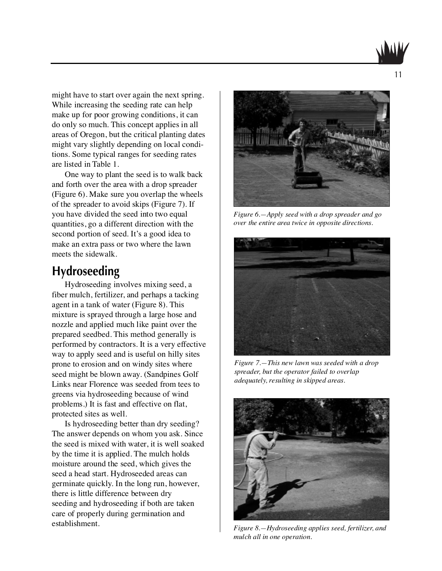might have to start over again the next spring. While increasing the seeding rate can help make up for poor growing conditions, it can do only so much. This concept applies in all areas of Oregon, but the critical planting dates might vary slightly depending on local conditions. Some typical ranges for seeding rates are listed in Table 1.

One way to plant the seed is to walk back and forth over the area with a drop spreader (Figure 6). Make sure you overlap the wheels of the spreader to avoid skips (Figure 7). If you have divided the seed into two equal quantities, go a different direction with the second portion of seed. It's a good idea to make an extra pass or two where the lawn meets the sidewalk.

### **Hydroseeding**

Hydroseeding involves mixing seed, a fiber mulch, fertilizer, and perhaps a tacking agent in a tank of water (Figure 8). This mixture is sprayed through a large hose and nozzle and applied much like paint over the prepared seedbed. This method generally is performed by contractors. It is a very effective way to apply seed and is useful on hilly sites prone to erosion and on windy sites where seed might be blown away. (Sandpines Golf Links near Florence was seeded from tees to greens via hydroseeding because of wind problems.) It is fast and effective on flat, protected sites as well.

Is hydroseeding better than dry seeding? The answer depends on whom you ask. Since the seed is mixed with water, it is well soaked by the time it is applied. The mulch holds moisture around the seed, which gives the seed a head start. Hydroseeded areas can germinate quickly. In the long run, however, there is little difference between dry seeding and hydroseeding if both are taken care of properly during germination and establishment.



*Figure 6.—Apply seed with a drop spreader and go over the entire area twice in opposite directions.*



*Figure 7.—This new lawn was seeded with a drop spreader, but the operator failed to overlap adequately, resulting in skipped areas.*



*Figure 8.—Hydroseeding applies seed, fertilizer, and mulch all in one operation.*

11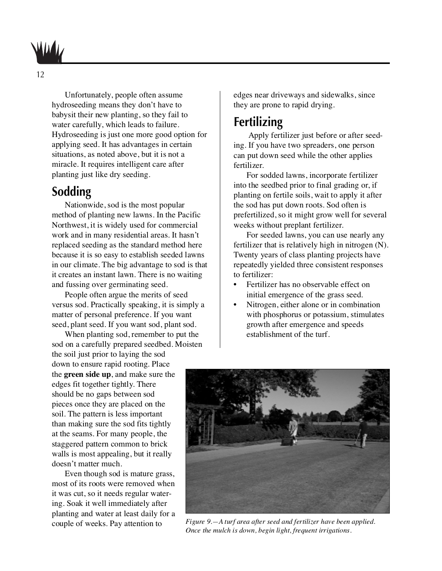

Unfortunately, people often assume hydroseeding means they don't have to babysit their new planting, so they fail to water carefully, which leads to failure. Hydroseeding is just one more good option for applying seed. It has advantages in certain situations, as noted above, but it is not a miracle. It requires intelligent care after planting just like dry seeding.

### **Sodding**

Nationwide, sod is the most popular method of planting new lawns. In the Pacific Northwest, it is widely used for commercial work and in many residential areas. It hasn't replaced seeding as the standard method here because it is so easy to establish seeded lawns in our climate. The big advantage to sod is that it creates an instant lawn. There is no waiting and fussing over germinating seed.

People often argue the merits of seed versus sod. Practically speaking, it is simply a matter of personal preference. If you want seed, plant seed. If you want sod, plant sod.

When planting sod, remember to put the sod on a carefully prepared seedbed. Moisten the soil just prior to laying the sod down to ensure rapid rooting. Place the **green side up**, and make sure the edges fit together tightly. There should be no gaps between sod pieces once they are placed on the soil. The pattern is less important than making sure the sod fits tightly at the seams. For many people, the staggered pattern common to brick walls is most appealing, but it really doesn't matter much.

Even though sod is mature grass, most of its roots were removed when it was cut, so it needs regular watering. Soak it well immediately after planting and water at least daily for a couple of weeks. Pay attention to

edges near driveways and sidewalks, since they are prone to rapid drying.

### **Fertilizing**

Apply fertilizer just before or after seeding. If you have two spreaders, one person can put down seed while the other applies fertilizer.

For sodded lawns, incorporate fertilizer into the seedbed prior to final grading or, if planting on fertile soils, wait to apply it after the sod has put down roots. Sod often is prefertilized, so it might grow well for several weeks without preplant fertilizer.

For seeded lawns, you can use nearly any fertilizer that is relatively high in nitrogen (N). Twenty years of class planting projects have repeatedly yielded three consistent responses to fertilizer:

- **•** Fertilizer has no observable effect on initial emergence of the grass seed.
- **•** Nitrogen, either alone or in combination with phosphorus or potassium, stimulates growth after emergence and speeds establishment of the turf.



*Figure 9.—A turf area after seed and fertilizer have been applied. Once the mulch is down, begin light, frequent irrigations.*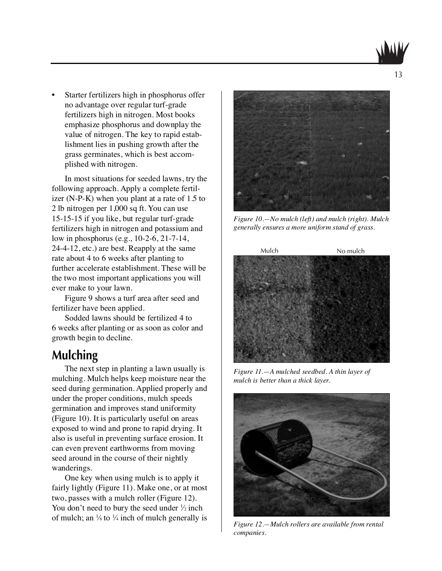**•** Starter fertilizers high in phosphorus offer no advantage over regular turf-grade fertilizers high in nitrogen. Most books emphasize phosphorus and downplay the value of nitrogen. The key to rapid establishment lies in pushing growth after the grass germinates, which is best accomplished with nitrogen.

In most situations for seeded lawns, try the following approach. Apply a complete fertilizer (N-P-K) when you plant at a rate of 1.5 to 2 lb nitrogen per 1,000 sq ft. You can use 15-15-15 if you like, but regular turf-grade fertilizers high in nitrogen and potassium and low in phosphorus (e.g., 10-2-6, 21-7-14, 24-4-12, etc.) are best. Reapply at the same rate about 4 to 6 weeks after planting to further accelerate establishment. These will be the two most important applications you will ever make to your lawn.

Figure 9 shows a turf area after seed and fertilizer have been applied.

Sodded lawns should be fertilized 4 to 6 weeks after planting or as soon as color and growth begin to decline.

### **Mulching**

The next step in planting a lawn usually is mulching. Mulch helps keep moisture near the seed during germination. Applied properly and under the proper conditions, mulch speeds germination and improves stand uniformity (Figure 10). It is particularly useful on areas exposed to wind and prone to rapid drying. It also is useful in preventing surface erosion. It can even prevent earthworms from moving seed around in the course of their nightly wanderings.

One key when using mulch is to apply it fairly lightly (Figure 11). Make one, or at most two, passes with a mulch roller (Figure 12). You don't need to bury the seed under  $\frac{1}{2}$  inch of mulch; an  $\frac{1}{8}$  to  $\frac{1}{4}$  inch of mulch generally is



*Figure 10.—No mulch (left) and mulch (right). Mulch generally ensures a more uniform stand of grass.*



*Figure 11.—A mulched seedbed. A thin layer of mulch is better than a thick layer.*



*Figure 12.—Mulch rollers are available from rental companies.*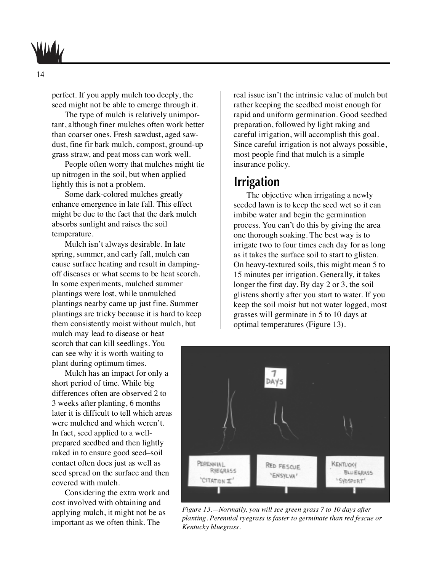perfect. If you apply mulch too deeply, the seed might not be able to emerge through it.

The type of mulch is relatively unimportant, although finer mulches often work better than coarser ones. Fresh sawdust, aged sawdust, fine fir bark mulch, compost, ground-up grass straw, and peat moss can work well.

People often worry that mulches might tie up nitrogen in the soil, but when applied lightly this is not a problem.

Some dark-colored mulches greatly enhance emergence in late fall. This effect might be due to the fact that the dark mulch absorbs sunlight and raises the soil temperature.

Mulch isn't always desirable. In late spring, summer, and early fall, mulch can cause surface heating and result in dampingoff diseases or what seems to be heat scorch. In some experiments, mulched summer plantings were lost, while unmulched plantings nearby came up just fine. Summer plantings are tricky because it is hard to keep them consistently moist without mulch, but mulch may lead to disease or heat scorch that can kill seedlings. You can see why it is worth waiting to

plant during optimum times. Mulch has an impact for only a short period of time. While big differences often are observed 2 to 3 weeks after planting, 6 months later it is difficult to tell which areas were mulched and which weren't. In fact, seed applied to a wellprepared seedbed and then lightly raked in to ensure good seed–soil contact often does just as well as seed spread on the surface and then covered with mulch.

Considering the extra work and cost involved with obtaining and applying mulch, it might not be as important as we often think. The

real issue isn't the intrinsic value of mulch but rather keeping the seedbed moist enough for rapid and uniform germination. Good seedbed preparation, followed by light raking and careful irrigation, will accomplish this goal. Since careful irrigation is not always possible, most people find that mulch is a simple insurance policy.

### **Irrigation**

The objective when irrigating a newly seeded lawn is to keep the seed wet so it can imbibe water and begin the germination process. You can't do this by giving the area one thorough soaking. The best way is to irrigate two to four times each day for as long as it takes the surface soil to start to glisten. On heavy-textured soils, this might mean 5 to 15 minutes per irrigation. Generally, it takes longer the first day. By day 2 or 3, the soil glistens shortly after you start to water. If you keep the soil moist but not water logged, most grasses will germinate in 5 to 10 days at optimal temperatures (Figure 13).



*Figure 13.—Normally, you will see green grass 7 to 10 days after planting. Perennial ryegrass is faster to germinate than red fescue or Kentucky bluegrass.*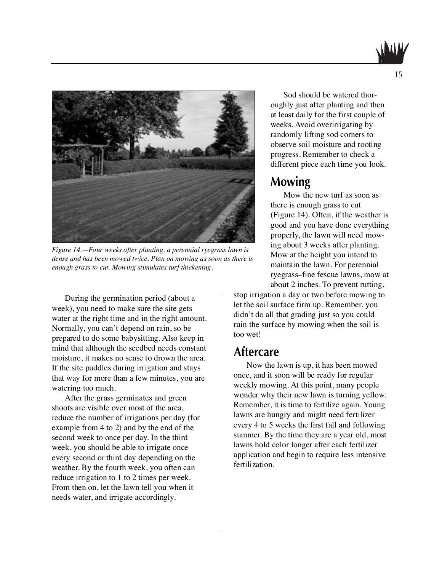



*Figure 14.—Four weeks after planting, a perennial ryegrass lawn is dense and has been mowed twice. Plan on mowing as soon as there is enough grass to cut. Mowing stimulates turf thickening.*

During the germination period (about a week), you need to make sure the site gets water at the right time and in the right amount. Normally, you can't depend on rain, so be prepared to do some babysitting. Also keep in mind that although the seedbed needs constant moisture, it makes no sense to drown the area. If the site puddles during irrigation and stays that way for more than a few minutes, you are watering too much.

After the grass germinates and green shoots are visible over most of the area, reduce the number of irrigations per day (for example from 4 to 2) and by the end of the second week to once per day. In the third week, you should be able to irrigate once every second or third day depending on the weather. By the fourth week, you often can reduce irrigation to 1 to 2 times per week. From then on, let the lawn tell you when it needs water, and irrigate accordingly.

Sod should be watered thoroughly just after planting and then at least daily for the first couple of weeks. Avoid overirrigating by randomly lifting sod corners to observe soil moisture and rooting progress. Remember to check a different piece each time you look.

### **Mowing**

Mow the new turf as soon as there is enough grass to cut (Figure 14). Often, if the weather is good and you have done everything properly, the lawn will need mowing about 3 weeks after planting. Mow at the height you intend to maintain the lawn. For perennial ryegrass–fine fescue lawns, mow at about 2 inches. To prevent rutting,

stop irrigation a day or two before mowing to let the soil surface firm up. Remember, you didn't do all that grading just so you could ruin the surface by mowing when the soil is too wet!

### **Aftercare**

Now the lawn is up, it has been mowed once, and it soon will be ready for regular weekly mowing. At this point, many people wonder why their new lawn is turning yellow. Remember, it is time to fertilize again. Young lawns are hungry and might need fertilizer every 4 to 5 weeks the first fall and following summer. By the time they are a year old, most lawns hold color longer after each fertilizer application and begin to require less intensive fertilization.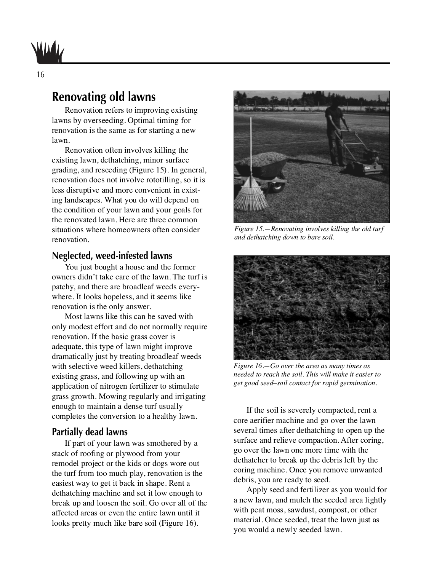

### **Renovating old lawns**

Renovation refers to improving existing lawns by overseeding. Optimal timing for renovation is the same as for starting a new lawn.

Renovation often involves killing the existing lawn, dethatching, minor surface grading, and reseeding (Figure 15). In general, renovation does not involve rototilling, so it is less disruptive and more convenient in existing landscapes. What you do will depend on the condition of your lawn and your goals for the renovated lawn. Here are three common situations where homeowners often consider renovation.

### **Neglected, weed-infested lawns**

You just bought a house and the former owners didn't take care of the lawn. The turf is patchy, and there are broadleaf weeds everywhere. It looks hopeless, and it seems like renovation is the only answer.

Most lawns like this can be saved with only modest effort and do not normally require renovation. If the basic grass cover is adequate, this type of lawn might improve dramatically just by treating broadleaf weeds with selective weed killers, dethatching existing grass, and following up with an application of nitrogen fertilizer to stimulate grass growth. Mowing regularly and irrigating enough to maintain a dense turf usually completes the conversion to a healthy lawn.

### **Partially dead lawns**

If part of your lawn was smothered by a stack of roofing or plywood from your remodel project or the kids or dogs wore out the turf from too much play, renovation is the easiest way to get it back in shape. Rent a dethatching machine and set it low enough to break up and loosen the soil. Go over all of the affected areas or even the entire lawn until it looks pretty much like bare soil (Figure 16).



*Figure 15.—Renovating involves killing the old turf and dethatching down to bare soil.*



*Figure 16.—Go over the area as many times as needed to reach the soil. This will make it easier to get good seed–soil contact for rapid germination.*

If the soil is severely compacted, rent a core aerifier machine and go over the lawn several times after dethatching to open up the surface and relieve compaction. After coring, go over the lawn one more time with the dethatcher to break up the debris left by the coring machine. Once you remove unwanted debris, you are ready to seed.

Apply seed and fertilizer as you would for a new lawn, and mulch the seeded area lightly with peat moss, sawdust, compost, or other material. Once seeded, treat the lawn just as you would a newly seeded lawn.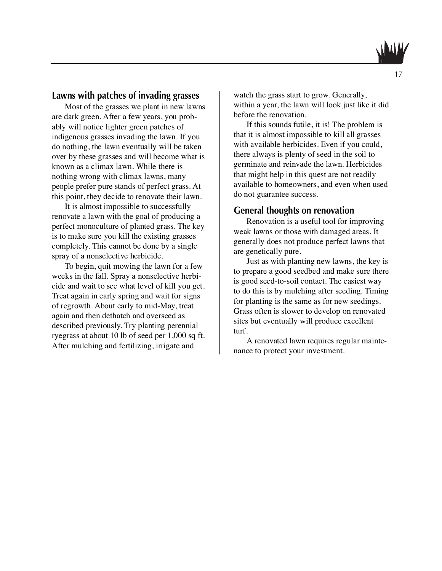

Most of the grasses we plant in new lawns are dark green. After a few years, you probably will notice lighter green patches of indigenous grasses invading the lawn. If you do nothing, the lawn eventually will be taken over by these grasses and will become what is known as a climax lawn. While there is nothing wrong with climax lawns, many people prefer pure stands of perfect grass. At this point, they decide to renovate their lawn.

It is almost impossible to successfully renovate a lawn with the goal of producing a perfect monoculture of planted grass. The key is to make sure you kill the existing grasses completely. This cannot be done by a single spray of a nonselective herbicide.

To begin, quit mowing the lawn for a few weeks in the fall. Spray a nonselective herbicide and wait to see what level of kill you get. Treat again in early spring and wait for signs of regrowth. About early to mid-May, treat again and then dethatch and overseed as described previously. Try planting perennial ryegrass at about 10 lb of seed per 1,000 sq ft. After mulching and fertilizing, irrigate and

watch the grass start to grow. Generally, within a year, the lawn will look just like it did before the renovation.

If this sounds futile, it is! The problem is that it is almost impossible to kill all grasses with available herbicides. Even if you could, there always is plenty of seed in the soil to germinate and reinvade the lawn. Herbicides that might help in this quest are not readily available to homeowners, and even when used do not guarantee success.

### **General thoughts on renovation**

Renovation is a useful tool for improving weak lawns or those with damaged areas. It generally does not produce perfect lawns that are genetically pure.

Just as with planting new lawns, the key is to prepare a good seedbed and make sure there is good seed-to-soil contact. The easiest way to do this is by mulching after seeding. Timing for planting is the same as for new seedings. Grass often is slower to develop on renovated sites but eventually will produce excellent turf.

A renovated lawn requires regular maintenance to protect your investment.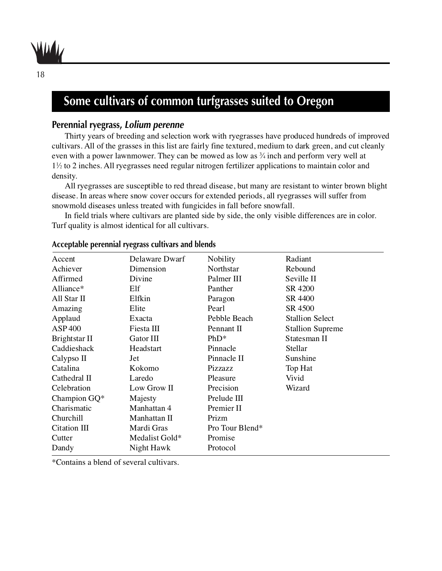

### **Some cultivars of common turfgrasses suited to Oregon**

### **Perennial ryegrass, Lolium perenne**

Thirty years of breeding and selection work with ryegrasses have produced hundreds of improved cultivars. All of the grasses in this list are fairly fine textured, medium to dark green, and cut cleanly even with a power lawnmower. They can be mowed as low as  $\frac{3}{4}$  inch and perform very well at 1<sup>1</sup>/<sub>2</sub> to 2 inches. All ryegrasses need regular nitrogen fertilizer applications to maintain color and density.

All ryegrasses are susceptible to red thread disease, but many are resistant to winter brown blight disease. In areas where snow cover occurs for extended periods, all ryegrasses will suffer from snowmold diseases unless treated with fungicides in fall before snowfall.

In field trials where cultivars are planted side by side, the only visible differences are in color. Turf quality is almost identical for all cultivars.

| Delaware Dwarf | <b>Nobility</b> | Radiant                 |
|----------------|-----------------|-------------------------|
| Dimension      | Northstar       | Rebound                 |
| Divine         | Palmer III      | Seville II              |
| Elf            | Panther         | SR 4200                 |
| Elfkin         | Paragon         | SR 4400                 |
| Elite          | Pearl           | SR 4500                 |
| Exacta         | Pebble Beach    | <b>Stallion Select</b>  |
| Fiesta III     | Pennant II      | <b>Stallion Supreme</b> |
| Gator III      | $PhD*$          | Statesman II            |
| Headstart      | Pinnacle        | Stellar                 |
| Jet            | Pinnacle II     | Sunshine                |
| Kokomo         | Pizzazz         | Top Hat                 |
| Laredo         | Pleasure        | Vivid                   |
| Low Grow II    | Precision       | Wizard                  |
| Majesty        | Prelude III     |                         |
| Manhattan 4    | Premier II      |                         |
| Manhattan II   | Prizm           |                         |
| Mardi Gras     | Pro Tour Blend* |                         |
| Medalist Gold* | Promise         |                         |
| Night Hawk     | Protocol        |                         |
|                |                 |                         |

#### **Acceptable perennial ryegrass cultivars and blends**

\*Contains a blend of several cultivars.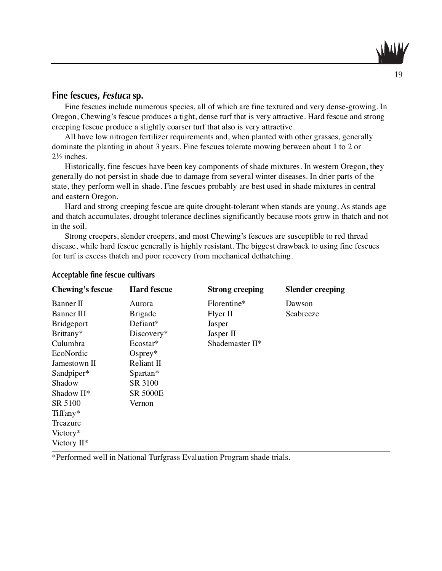### **Fine fescues, Festuca sp.**

Fine fescues include numerous species, all of which are fine textured and very dense-growing. In Oregon, Chewing's fescue produces a tight, dense turf that is very attractive. Hard fescue and strong creeping fescue produce a slightly coarser turf that also is very attractive.

All have low nitrogen fertilizer requirements and, when planted with other grasses, generally dominate the planting in about 3 years. Fine fescues tolerate mowing between about 1 to 2 or  $2\frac{1}{2}$  inches.

Historically, fine fescues have been key components of shade mixtures. In western Oregon, they generally do not persist in shade due to damage from several winter diseases. In drier parts of the state, they perform well in shade. Fine fescues probably are best used in shade mixtures in central and eastern Oregon.

Hard and strong creeping fescue are quite drought-tolerant when stands are young. As stands age and thatch accumulates, drought tolerance declines significantly because roots grow in thatch and not in the soil.

Strong creepers, slender creepers, and most Chewing's fescues are susceptible to red thread disease, while hard fescue generally is highly resistant. The biggest drawback to using fine fescues for turf is excess thatch and poor recovery from mechanical dethatching.

| <b>Chewing's fescue</b> | <b>Hard fescue</b> | <b>Strong creeping</b> | <b>Slender creeping</b> |
|-------------------------|--------------------|------------------------|-------------------------|
| Banner II               | Aurora             | Florentine*            | Dawson                  |
| <b>Banner III</b>       | <b>Brigade</b>     | Flyer II               | Seabreeze               |
| <b>Bridgeport</b>       | Defiant*           | Jasper                 |                         |
| Brittany*               | Discovery*         | Jasper II              |                         |
| Culumbra                | Ecostar*           | Shademaster II*        |                         |
| EcoNordic               | $O$ sprey*         |                        |                         |
| Jamestown II            | Reliant II         |                        |                         |
| Sandpiper*              | Spartan*           |                        |                         |
| Shadow                  | SR 3100            |                        |                         |
| Shadow II*              | <b>SR 5000E</b>    |                        |                         |
| SR 5100                 | Vernon             |                        |                         |
| Tiffany*                |                    |                        |                         |
| Treazure                |                    |                        |                         |
| Victory*                |                    |                        |                         |
| Victory $II^*$          |                    |                        |                         |

#### **Acceptable fine fescue cultivars**

\*Performed well in National Turfgrass Evaluation Program shade trials.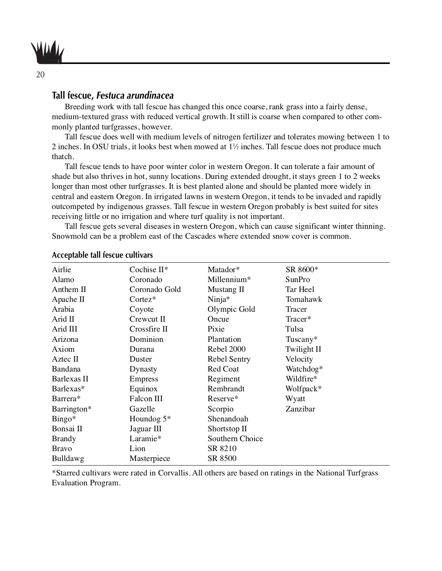

### **Tall fescue, Festuca arundinacea**

Breeding work with tall fescue has changed this once coarse, rank grass into a fairly dense, medium-textured grass with reduced vertical growth. It still is coarse when compared to other commonly planted turfgrasses, however.

Tall fescue does well with medium levels of nitrogen fertilizer and tolerates mowing between 1 to 2 inches. In OSU trials, it looks best when mowed at 11 ⁄2 inches. Tall fescue does not produce much thatch.

Tall fescue tends to have poor winter color in western Oregon. It can tolerate a fair amount of shade but also thrives in hot, sunny locations. During extended drought, it stays green 1 to 2 weeks longer than most other turfgrasses. It is best planted alone and should be planted more widely in central and eastern Oregon. In irrigated lawns in western Oregon, it tends to be invaded and rapidly outcompeted by indigenous grasses. Tall fescue in western Oregon probably is best suited for sites receiving little or no irrigation and where turf quality is not important.

Tall fescue gets several diseases in western Oregon, which can cause significant winter thinning. Snowmold can be a problem east of the Cascades where extended snow cover is common.

| Airlie         | Cochise II*       | Matador*            | SR 8600*    |
|----------------|-------------------|---------------------|-------------|
| Alamo          | Coronado          | Millennium*         | SunPro      |
| Anthem II      | Coronado Gold     | Mustang II          | Tar Heel    |
| Apache II      | $\text{Cortex}^*$ | Ninja*              | Tomahawk    |
| Arabia         | Coyote            | Olympic Gold        | Tracer      |
| Arid II        | Crewcut II        | Oncue               | Tracer*     |
| Arid III       | Crossfire II      | Pixie               | Tulsa       |
| Arizona        | Dominion          | Plantation          | Tuscany*    |
| Axiom          | Durana            | Rebel 2000          | Twilight II |
| Aztec II       | Duster            | <b>Rebel Sentry</b> | Velocity    |
| <b>Bandana</b> | Dynasty           | Red Coat            | Watchdog*   |
| Barlexas II    | <b>Empress</b>    | Regiment            | Wildfire*   |
| Barlexas*      | Equinox           | Rembrandt           | Wolfpack*   |
| Barrera*       | Falcon III        | Reserve*            | Wyatt       |
| Barrington*    | Gazelle           | Scorpio             | Zanzibar    |
| $Bingo*$       | Houndog $5*$      | Shenandoah          |             |
| Bonsai II      | Jaguar III        | Shortstop II        |             |
| <b>Brandy</b>  | Laramie*          | Southern Choice     |             |
| <b>Bravo</b>   | Lion              | SR 8210             |             |
| Bulldawg       | Masterpiece       | SR 8500             |             |

#### **Acceptable tall fescue cultivars**

\*Starred cultivars were rated in Corvallis. All others are based on ratings in the National Turfgrass Evaluation Program.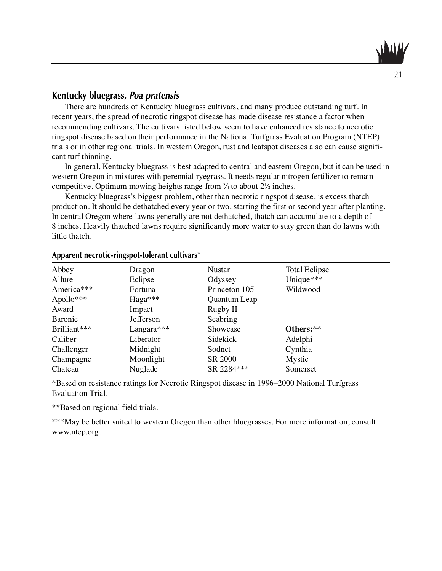### **Kentucky bluegrass, Poa pratensis**

There are hundreds of Kentucky bluegrass cultivars, and many produce outstanding turf. In recent years, the spread of necrotic ringspot disease has made disease resistance a factor when recommending cultivars. The cultivars listed below seem to have enhanced resistance to necrotic ringspot disease based on their performance in the National Turfgrass Evaluation Program (NTEP) trials or in other regional trials. In western Oregon, rust and leafspot diseases also can cause significant turf thinning.

In general, Kentucky bluegrass is best adapted to central and eastern Oregon, but it can be used in western Oregon in mixtures with perennial ryegrass. It needs regular nitrogen fertilizer to remain competitive. Optimum mowing heights range from  $\frac{3}{4}$  to about  $2\frac{1}{2}$  inches.

Kentucky bluegrass's biggest problem, other than necrotic ringspot disease, is excess thatch production. It should be dethatched every year or two, starting the first or second year after planting. In central Oregon where lawns generally are not dethatched, thatch can accumulate to a depth of 8 inches. Heavily thatched lawns require significantly more water to stay green than do lawns with little thatch.

| .            | $\sigma$ i |               |                      |  |
|--------------|------------|---------------|----------------------|--|
| Abbey        | Dragon     | Nustar        | <b>Total Eclipse</b> |  |
| Allure       | Eclipse    | Odyssey       | Unique***            |  |
| America***   | Fortuna    | Princeton 105 | Wildwood             |  |
| Apollo***    | $Haga***$  | Quantum Leap  |                      |  |
| Award        | Impact     | Rugby II      |                      |  |
| Baronie      | Jefferson  | Seabring      |                      |  |
| Brilliant*** | Langara*** | Showcase      | Others:**            |  |
| Caliber      | Liberator  | Sidekick      | Adelphi              |  |
| Challenger   | Midnight   | Sodnet        | Cynthia              |  |
| Champagne    | Moonlight  | SR 2000       | <b>Mystic</b>        |  |
| Chateau      | Nuglade    | SR 2284***    | Somerset             |  |

#### **Apparent necrotic-ringspot-tolerant cultivars\***

\*Based on resistance ratings for Necrotic Ringspot disease in 1996–2000 National Turfgrass Evaluation Trial.

\*\*Based on regional field trials.

\*\*\*May be better suited to western Oregon than other bluegrasses. For more information, consult www.ntep.org.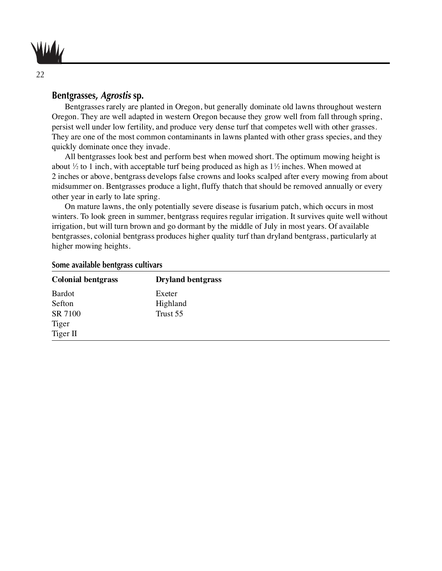

### **Bentgrasses, Agrostis sp.**

Bentgrasses rarely are planted in Oregon, but generally dominate old lawns throughout western Oregon. They are well adapted in western Oregon because they grow well from fall through spring, persist well under low fertility, and produce very dense turf that competes well with other grasses. They are one of the most common contaminants in lawns planted with other grass species, and they quickly dominate once they invade.

All bentgrasses look best and perform best when mowed short. The optimum mowing height is about  $\frac{1}{2}$  to 1 inch, with acceptable turf being produced as high as  $1\frac{1}{2}$  inches. When mowed at 2 inches or above, bentgrass develops false crowns and looks scalped after every mowing from about midsummer on. Bentgrasses produce a light, fluffy thatch that should be removed annually or every other year in early to late spring.

On mature lawns, the only potentially severe disease is fusarium patch, which occurs in most winters. To look green in summer, bentgrass requires regular irrigation. It survives quite well without irrigation, but will turn brown and go dormant by the middle of July in most years. Of available bentgrasses, colonial bentgrass produces higher quality turf than dryland bentgrass, particularly at higher mowing heights.

| <b>Colonial bentgrass</b> | <b>Dryland bentgrass</b> |
|---------------------------|--------------------------|
| <b>Bardot</b>             | Exeter                   |
| Sefton                    | Highland                 |
| SR 7100                   | Trust 55                 |
| Tiger                     |                          |
| Tiger II                  |                          |

#### **Some available bentgrass cultivars**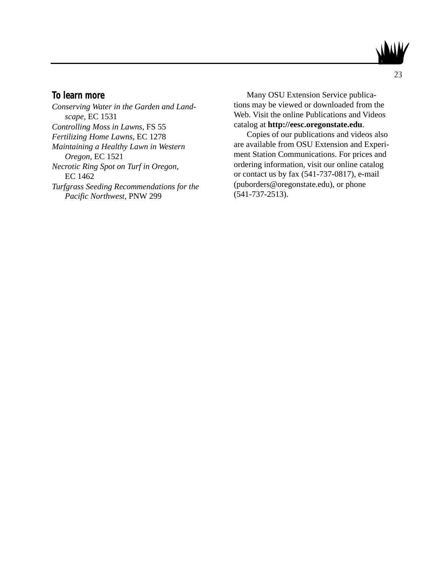

### **To learn more**

*Conserving Water in the Garden and Landscape,* EC 1531 *Controlling Moss in Lawns,* FS 55 *Fertilizing Home Lawns,* EC 1278 *Maintaining a Healthy Lawn in Western Oregon,* EC 1521 *Necrotic Ring Spot on Turf in Oregon,* EC 1462 *Turfgrass Seeding Recommendations for the Pacific Northwest,* PNW 299

Many OSU Extension Service publications may be viewed or downloaded from the Web. Visit the online Publications and Videos catalog at **http://eesc.oregonstate.edu**.

Copies of our publications and videos also are available from OSU Extension and Experiment Station Communications. For prices and ordering information, visit our online catalog or contact us by fax (541-737-0817), e-mail (puborders@oregonstate.edu), or phone (541-737-2513).